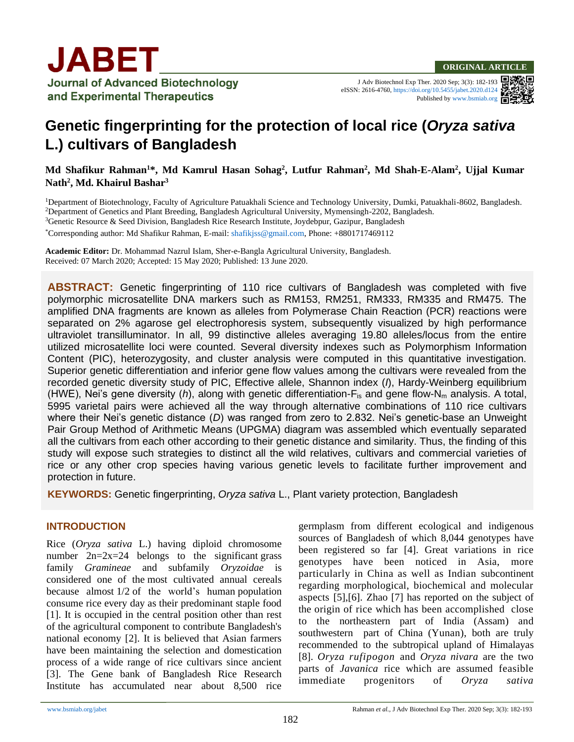

J Adv Biotechnol Exp Ther. 2020 Sep; 3(3): 182-193 eISSN: 2616-4760[, https://doi.org/10.5455/jabet.2020.d124](https://doi.org/10.5455/jabet.2020.d124) Published b[y www.bsmiab.org](http://www.bsmiab.org/)

# **Genetic fingerprinting for the protection of local rice (***Oryza sativa* **L.) cultivars of Bangladesh**

**Md Shafikur Rahman<sup>1</sup>\*, Md Kamrul Hasan Sohag<sup>2</sup> , Lutfur Rahman<sup>2</sup> , Md Shah-E-Alam<sup>2</sup> , Ujjal Kumar Nath<sup>2</sup> , Md. Khairul Bashar<sup>3</sup>**

<sup>1</sup>Department of Biotechnology, Faculty of Agriculture Patuakhali Science and Technology University, Dumki, Patuakhali-8602, Bangladesh. <sup>2</sup>Department of Genetics and Plant Breeding, Bangladesh Agricultural University, Mymensingh-2202, Bangladesh.

<sup>3</sup>Genetic Resource & Seed Division, Bangladesh Rice Research Institute, Joydebpur, Gazipur, Bangladesh

\*Corresponding author: Md Shafikur Rahman, E-mail[: shafikjss@gmail.com,](mailto:shafikjss@gmail.com) Phone: +8801717469112

**Academic Editor:** Dr. Mohammad Nazrul Islam, Sher-e-Bangla Agricultural University, Bangladesh. Received: 07 March 2020; Accepted: 15 May 2020; Published: 13 June 2020.

**ABSTRACT:** Genetic fingerprinting of 110 rice cultivars of Bangladesh was completed with five polymorphic microsatellite DNA markers such as RM153, RM251, RM333, RM335 and RM475. The amplified DNA fragments are known as alleles from Polymerase Chain Reaction (PCR) reactions were separated on 2% agarose gel electrophoresis system, subsequently visualized by high performance ultraviolet transilluminator. In all, 99 distinctive alleles averaging 19.80 alleles/locus from the entire utilized microsatellite loci were counted. Several diversity indexes such as Polymorphism Information Content (PIC), heterozygosity, and cluster analysis were computed in this quantitative investigation. Superior genetic differentiation and inferior gene flow values among the cultivars were revealed from the recorded genetic diversity study of PIC, Effective allele, Shannon index (*I*), Hardy-Weinberg equilibrium (HWE), Nei's gene diversity (*h*), along with genetic differentiation-F<sub>is</sub> and gene flow-N<sub>m</sub> analysis. A total, 5995 varietal pairs were achieved all the way through alternative combinations of 110 rice cultivars where their Nei's genetic distance (*D*) was ranged from zero to 2.832. Nei's genetic-base an Unweight Pair Group Method of Arithmetic Means (UPGMA) diagram was assembled which eventually separated all the cultivars from each other according to their genetic distance and similarity. Thus, the finding of this study will expose such strategies to distinct all the wild relatives, cultivars and commercial varieties of rice or any other crop species having various genetic levels to facilitate further improvement and protection in future.

**KEYWORDS:** Genetic fingerprinting, *Oryza sativa* L., Plant variety protection, Bangladesh

### **INTRODUCTION**

Rice (*Oryza sativa* L.) having diploid chromosome number  $2n=2x=24$  belongs to the significant grass family *Gramineae* and subfamily *Oryzoidae* is considered one of the most cultivated annual cereals because almost 1/2 of the world's human population consume rice every day as their predominant staple food [1]. It is occupied in the central position other than rest of the agricultural component to contribute Bangladesh's national economy [2]. It is believed that Asian farmers have been maintaining the selection and domestication process of a wide range of rice cultivars since ancient [3]. The Gene bank of Bangladesh Rice Research Institute has accumulated near about 8,500 rice germplasm from different ecological and indigenous sources of Bangladesh of which 8,044 genotypes have been registered so far [4]. Great variations in rice genotypes have been noticed in Asia, more particularly in China as well as Indian subcontinent regarding morphological, biochemical and molecular aspects [5],[6]. Zhao [7] has reported on the subject of the origin of rice which has been accomplished close to the northeastern part of India (Assam) and southwestern part of China (Yunan), both are truly recommended to the subtropical upland of Himalayas [8]. *Oryza rufipogon* and *Oryza nivara* are the two parts of *Javanica* rice which are assumed feasible immediate progenitors of *Oryza sativa*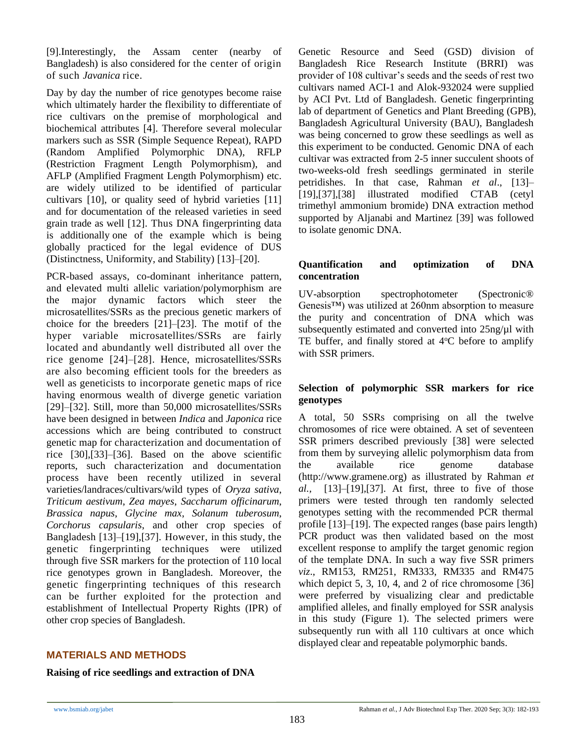[9].Interestingly, the Assam center (nearby of Bangladesh) is also considered for the center of origin of such *Javanica* rice.

Day by day the number of rice genotypes become raise which ultimately harder the flexibility to differentiate of rice cultivars on the premise of morphological and biochemical attributes [4]. Therefore several molecular markers such as SSR (Simple Sequence Repeat), RAPD (Random Amplified Polymorphic DNA), RFLP (Restriction Fragment Length Polymorphism), and AFLP (Amplified Fragment Length Polymorphism) etc. are widely utilized to be identified of particular cultivars [10], or quality seed of hybrid varieties [11] and for documentation of the released varieties in seed grain trade as well [12]. Thus DNA fingerprinting data is additionally one of the example which is being globally practiced for the legal evidence of DUS (Distinctness, Uniformity, and Stability) [13]–[20].

PCR-based assays, co-dominant inheritance pattern, and elevated multi allelic variation/polymorphism are the major dynamic factors which steer the microsatellites/SSRs as the precious genetic markers of choice for the breeders [21]–[23]. The motif of the hyper variable microsatellites/SSRs are fairly located and abundantly well distributed all over the rice genome [24]–[28]. Hence, microsatellites/SSRs are also becoming efficient tools for the breeders as well as geneticists to incorporate genetic maps of rice having enormous wealth of diverge genetic variation [29]–[32]. Still, more than 50,000 microsatellites/SSRs have been designed in between *Indica* and *Japonica* rice accessions which are being contributed to construct genetic map for characterization and documentation of rice [30],[33]–[36]. Based on the above scientific reports, such characterization and documentation process have been recently utilized in several varieties/landraces/cultivars/wild types of *Oryza sativa*, *Triticum aestivum*, *Zea mayes*, *Saccharum officinarum*, *Brassica napus*, *Glycine max*, *Solanum tuberosum*, *Corchorus capsularis*, and other crop species of Bangladesh [13]–[19],[37]. However, in this study, the genetic fingerprinting techniques were utilized through five SSR markers for the protection of 110 local rice genotypes grown in Bangladesh. Moreover, the genetic fingerprinting techniques of this research can be further exploited for the protection and establishment of Intellectual Property Rights (IPR) of other crop species of Bangladesh.

### **MATERIALS AND METHODS**

**Raising of rice seedlings and extraction of DNA**

Genetic Resource and Seed (GSD) division of Bangladesh Rice Research Institute (BRRI) was provider of 108 cultivar's seeds and the seeds of rest two cultivars named ACI-1 and Alok-932024 were supplied by ACI Pvt. Ltd of Bangladesh. Genetic fingerprinting lab of department of Genetics and Plant Breeding (GPB), Bangladesh Agricultural University (BAU), Bangladesh was being concerned to grow these seedlings as well as this experiment to be conducted. Genomic DNA of each cultivar was extracted from 2-5 inner succulent shoots of two-weeks-old fresh seedlings germinated in sterile petridishes. In that case, Rahman *et al*., [13]– [19],[37],[38] illustrated modified CTAB (cetyl trimethyl ammonium bromide) DNA extraction method supported by Aljanabi and Martinez [39] was followed to isolate genomic DNA.

### **Quantification and optimization of DNA concentration**

UV-absorption spectrophotometer (Spectronic® Genesis™) was utilized at 260nm absorption to measure the purity and concentration of DNA which was subsequently estimated and converted into 25ng/ $\mu$ l with TE buffer, and finally stored at  $4^{\circ}$ C before to amplify with SSR primers.

### **Selection of polymorphic SSR markers for rice genotypes**

A total, 50 SSRs comprising on all the twelve chromosomes of rice were obtained. A set of seventeen SSR primers described previously [38] were selected from them by surveying allelic polymorphism data from the available rice genome database (http://www.gramene.org) as illustrated by Rahman *et al.,* [13]–[19],[37]. At first, three to five of those primers were tested through ten randomly selected genotypes setting with the recommended PCR thermal profile [13]–[19]. The expected ranges (base pairs length) PCR product was then validated based on the most excellent response to amplify the target genomic region of the template DNA. In such a way five SSR primers *viz*., RM153, RM251, RM333, RM335 and RM475 which depict  $5, 3, 10, 4$ , and  $2$  of rice chromosome  $[36]$ were preferred by visualizing clear and predictable amplified alleles, and finally employed for SSR analysis in this study (Figure 1). The selected primers were subsequently run with all 110 cultivars at once which displayed clear and repeatable polymorphic bands.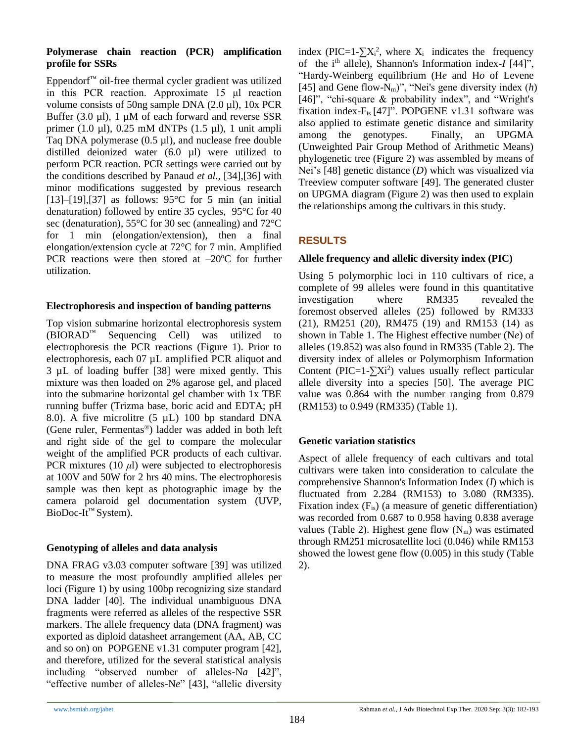### **Polymerase chain reaction (PCR) amplification profile for SSRs**

Eppendorf™ oil-free thermal cycler gradient was utilized in this PCR reaction. Approximate 15 μl reaction volume consists of 50ng sample DNA (2.0 µl), 10x PCR Buffer (3.0  $\mu$ l), 1  $\mu$ M of each forward and reverse SSR primer (1.0 µl), 0.25 mM dNTPs (1.5 µl), 1 unit ampli Taq DNA polymerase (0.5 µl), and nuclease free double distilled deionized water (6.0 µl) were utilized to perform PCR reaction. PCR settings were carried out by the conditions described by Panaud *et al.,* [34],[36] with minor modifications suggested by previous research [13]–[19],[37] as follows:  $95^{\circ}$ C for 5 min (an initial denaturation) followed by entire 35 cycles, 95°C for 40 sec (denaturation), 55°C for 30 sec (annealing) and 72°C for 1 min (elongation/extension), then a final elongation/extension cycle at 72°C for 7 min. Amplified PCR reactions were then stored at  $-20^{\circ}$ C for further utilization.

### **Electrophoresis and inspection of banding patterns**

Top vision submarine horizontal electrophoresis system (BIORAD™ Sequencing Cell) was utilized to electrophoresis the PCR reactions (Figure 1). Prior to electrophoresis, each 07 µL amplified PCR aliquot and 3 µL of loading buffer [38] were mixed gently. This mixture was then loaded on 2% agarose gel, and placed into the submarine horizontal gel chamber with 1x TBE running buffer (Trizma base, boric acid and EDTA; pH 8.0). A five microlitre (5 µL) 100 bp standard DNA (Gene ruler, Fermentas®) ladder was added in both left and right side of the gel to compare the molecular weight of the amplified PCR products of each cultivar. PCR mixtures (10 *μ*l) were subjected to electrophoresis at 100V and 50W for 2 hrs 40 mins. The electrophoresis sample was then kept as photographic image by the camera polaroid gel documentation system (UVP, BioDoc-It<sup>™</sup> System).

### **Genotyping of alleles and data analysis**

DNA FRAG v3.03 computer software [39] was utilized to measure the most profoundly amplified alleles per loci (Figure 1) by using 100bp recognizing size standard DNA ladder [40]. The individual unambiguous DNA fragments were referred as alleles of the respective SSR markers. The allele frequency data (DNA fragment) was exported as diploid datasheet arrangement (AA, AB, CC and so on) on POPGENE v1.31 computer program [42], and therefore, utilized for the several statistical analysis including "observed number of alleles-Na [42]", "effective number of alleles-N*e*" [43], "allelic diversity

index (PIC=1- $\sum X_i^2$ , where  $X_i$  indicates the frequency of the i<sup>th</sup> allele), Shannon's Information index-*I* [44]", "Hardy-Weinberg equilibrium (H*e* and H*o* of Levene [45] and Gene flow-Nm)", "Nei's gene diversity index (*h*) [46]", "chi-square & probability index", and "Wright's fixation index- $F_{is}$  [47]". POPGENE v1.31 software was also applied to estimate genetic distance and similarity among the genotypes. Finally, an UPGMA (Unweighted Pair Group Method of Arithmetic Means) phylogenetic tree (Figure 2) was assembled by means of Nei's [48] genetic distance (*D*) which was visualized via Treeview computer software [49]. The generated cluster on UPGMA diagram (Figure 2) was then used to explain the relationships among the cultivars in this study.

### **RESULTS**

### **Allele frequency and allelic diversity index (PIC)**

Using 5 polymorphic loci in 110 cultivars of rice, a complete of 99 alleles were found in this quantitative investigation where RM335 revealed the foremost observed alleles (25) followed by RM333 (21), RM251 (20), RM475 (19) and RM153 (14) as shown in Table 1. The Highest effective number (N*e*) of alleles (19.852) was also found in RM335 (Table 2). The diversity index of alleles or Polymorphism Information Content (PIC=1- $\sum$ Xi<sup>2</sup>) values usually reflect particular allele diversity into a species [50]. The average PIC value was 0.864 with the number ranging from 0.879 (RM153) to 0.949 (RM335) (Table 1).

### **Genetic variation statistics**

Aspect of allele frequency of each cultivars and total cultivars were taken into consideration to calculate the comprehensive Shannon's Information Index (*I*) which is fluctuated from 2.284 (RM153) to 3.080 (RM335). Fixation index  $(F_{is})$  (a measure of genetic differentiation) was recorded from 0.687 to 0.958 having 0.838 average values (Table 2). Highest gene flow  $(N_m)$  was estimated through RM251 microsatellite loci (0.046) while RM153 showed the lowest gene flow (0.005) in this study (Table 2).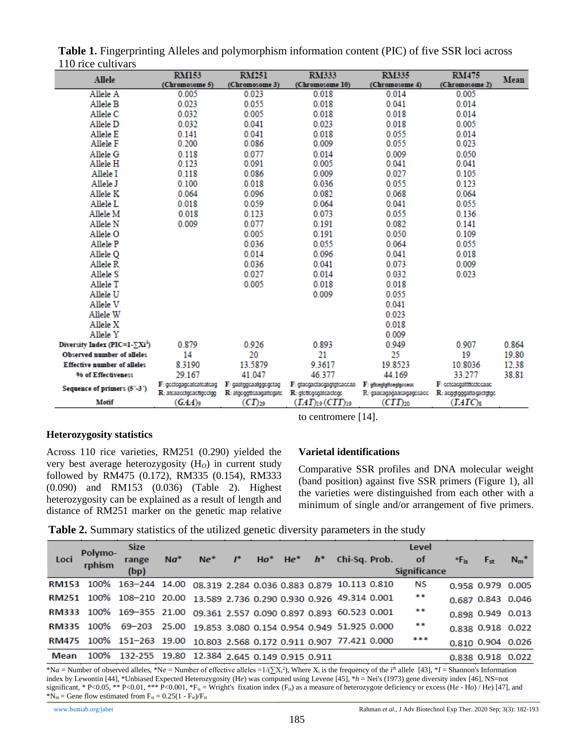| 110 MW Cantvars                                    | <b>RM153</b>                                       | <b>RM251</b>                                     | <b>RM333</b>                                       | <b>RM335</b>                                       | <b>RM475</b>                                       |       |
|----------------------------------------------------|----------------------------------------------------|--------------------------------------------------|----------------------------------------------------|----------------------------------------------------|----------------------------------------------------|-------|
| Allele                                             | (Chromosome 5)                                     | (Chromosome 3)                                   | (Chromosome 10)                                    | (Chromosome 4)                                     | (Chromosome 2)                                     | Mean  |
| Allele A                                           | 0.005                                              | 0.023                                            | 0.018                                              | 0.014                                              | 0.005                                              |       |
| Allele B                                           | 0.023                                              | 0.055                                            | 0.018                                              | 0.041                                              | 0.014                                              |       |
| Allele C                                           | 0.032                                              | 0.005                                            | 0.018                                              | 0.018                                              | 0.014                                              |       |
| Allele D                                           | 0.032                                              | 0.041                                            | 0.023                                              | 0.018                                              | 0.005                                              |       |
| Allele E                                           | 0.141                                              | 0.041                                            | 0.018                                              | 0.055                                              | 0.014                                              |       |
| Allele F                                           | 0.200                                              | 0.086                                            | 0.009                                              | 0.055                                              | 0.023                                              |       |
| Allele G                                           | 0.118                                              | 0.077                                            | 0.014                                              | 0.009                                              | 0.050                                              |       |
| Allele H                                           | 0.123                                              | 0.091                                            | 0.005                                              | 0.041                                              | 0.041                                              |       |
| Allele I                                           | 0.118                                              | 0.086                                            | 0.009                                              | 0.027                                              | 0.105                                              |       |
| Allele J                                           | 0.100                                              | 0.018                                            | 0.036                                              | 0.055                                              | 0.123                                              |       |
| Allele K                                           | 0.064                                              | 0.096                                            | 0.082                                              | 0.068                                              | 0.064                                              |       |
| Allele L                                           | 0.018                                              | 0.059                                            | 0.064                                              | 0.041                                              | 0.055                                              |       |
| Allele M                                           | 0.018                                              | 0.123                                            | 0.073                                              | 0.055                                              | 0.136                                              |       |
| 0.009<br>Allele N                                  |                                                    | 0.077                                            | 0.191                                              | 0.082                                              | 0.141                                              |       |
| Allele O                                           |                                                    | 0.005                                            | 0.191                                              | 0.050                                              | 0.109                                              |       |
| Allele P                                           |                                                    | 0.036                                            | 0.055                                              | 0.064                                              | 0.055                                              |       |
| Allele Q                                           |                                                    | 0.014                                            | 0.096                                              | 0.041                                              | 0.018                                              |       |
| Allele R                                           |                                                    | 0.036                                            | 0.041                                              | 0.073                                              | 0.009                                              |       |
| Allele S                                           |                                                    | 0.027                                            | 0.014                                              | 0.032                                              | 0.023                                              |       |
| Allele T                                           |                                                    | 0.005                                            | 0.018                                              | 0.018                                              |                                                    |       |
| Allele U                                           |                                                    |                                                  | 0.009                                              | 0.055                                              |                                                    |       |
| Allele V                                           |                                                    |                                                  |                                                    | 0.041                                              |                                                    |       |
| Allele W                                           |                                                    |                                                  |                                                    | 0.023                                              |                                                    |       |
| Allele X                                           |                                                    |                                                  |                                                    | 0.018                                              |                                                    |       |
| Allele Y                                           |                                                    |                                                  |                                                    | 0.009                                              |                                                    |       |
| Diversity Index (PIC=1- $\Sigma$ Xi <sup>2</sup> ) | 0.879                                              | 0.926                                            | 0.893                                              | 0.949                                              | 0.907                                              | 0.864 |
| <b>Observed number of alleles</b>                  | 14                                                 | 20                                               | 21                                                 | 25                                                 | 19                                                 | 19.80 |
| <b>Effective number of alleles</b>                 | 8.3190                                             | 13.5879                                          | 9.3617                                             | 19.8523                                            | 10.8036                                            | 12.38 |
| <b>96 of Effectiveness</b>                         | 29.167                                             | 41.047                                           | 46.377                                             | 44.169                                             | 33.277                                             | 38.81 |
| Sequence of primers (5'-3')                        | F: gootogagcatcatcatcag<br>R: atcaacctgcacttgcctgg | F: gaatggcaatggcgctag<br>R: atgcggttcaagattcgatc | F: gtacgactacgagtgtcaccaa<br>R: gtcttcgcgatcactcgc | F: gitcagigitcagigccacc<br>R: gaacagagaacagagccacc | F: cetcacgattflectecaac<br>R: acggtgggattagactgtgc |       |
| Motif                                              | $(GAA)$ 9                                          | $(CI)_{29}$                                      | $(TAT)_{19}(CTT)_{19}$                             | $(TT)_{20}$                                        | $(TATC)_{8}$                                       |       |

**Table 1.** Fingerprinting Alleles and polymorphism information content (PIC) of five SSR loci across 110 rice cultivars

### **Heterozygosity statistics**

Across 110 rice varieties, RM251 (0.290) yielded the very best average heterozygosity (H*O*) in current study followed by RM475 (0.172), RM335 (0.154), RM333 (0.090) and RM153 (0.036) (Table 2). Highest heterozygosity can be explained as a result of length and distance of RM251 marker on the genetic map relative

## **Varietal identifications**

to centromere [14].

Comparative SSR profiles and DNA molecular weight (band position) against five SSR primers (Figure 1), all the varieties were distinguished from each other with a minimum of single and/or arrangement of five primers.

| Table 2. Summary statistics of the utilized genetic diversity parameters in the study |  |  |  |  |  |
|---------------------------------------------------------------------------------------|--|--|--|--|--|
|                                                                                       |  |  |  |  |  |

| Loci | Polymo-<br>rphism | <b>Size</b><br>range<br>(bp)                                         | $Na^*$ | $Ne^*$ | $\mathbf{r}$ | $Ho^*$ He <sup>*</sup> $h^*$ |  | Chi-Sq. Prob. | Level<br><b>of</b><br><b>Significance</b> | $*F_{iS}$ | $F_{st}$          | $N_m^*$ |
|------|-------------------|----------------------------------------------------------------------|--------|--------|--------------|------------------------------|--|---------------|-------------------------------------------|-----------|-------------------|---------|
|      |                   | RM153 100% 163-244 14.00 08.319 2.284 0.036 0.883 0.879 10.113 0.810 |        |        |              |                              |  |               | <b>NS</b>                                 |           | 0.958 0.979 0.005 |         |
|      |                   | RM251 100% 108-210 20.00 13.589 2.736 0.290 0.930 0.926 49.314 0.001 |        |        |              |                              |  |               | **                                        |           | 0.687 0.843 0.046 |         |
|      |                   | RM333 100% 169-355 21.00 09.361 2.557 0.090 0.897 0.893 60.523 0.001 |        |        |              |                              |  |               | **                                        |           | 0.898 0.949 0.013 |         |
|      |                   | RM335 100% 69-203 25.00 19.853 3.080 0.154 0.954 0.949 51.925 0.000  |        |        |              |                              |  |               | **                                        |           | 0.838 0.918 0.022 |         |
|      |                   | RM475 100% 151-263 19.00 10.803 2.568 0.172 0.911 0.907 77.421 0.000 |        |        |              |                              |  |               | ***                                       |           | 0.810 0.904 0.026 |         |
| Mean |                   | 100% 132-255 19.80 12.384 2.645 0.149 0.915 0.911                    |        |        |              |                              |  |               |                                           |           | 0.838 0.918 0.022 |         |

\*Na = Number of observed alleles, \*Ne = Number of effective alleles =1/(∑X<sub>i</sub><sup>2</sup>), Where X<sub>i</sub> is the frequency of the i<sup>th</sup> allele [43], \*I = Shannon's Information index by Lewontin [44], \*Unbiased Expected Heterozygosity (H*e*) was computed using Levene [45], \**h* = Nei's (1973) gene diversity index [46], NS=not significant, \* P<0.05, \*\* P<0.01, \*\*\* P<0.001, \*F<sub>is</sub> = Wright's fixation index (F<sub>is</sub>) as a measure of heterozygote deficiency or excess (He - Ho) / He) [47], and  $N_m =$  Gene flow estimated from  $F_{st} = 0.25(1 - F_{st})/F_{st}$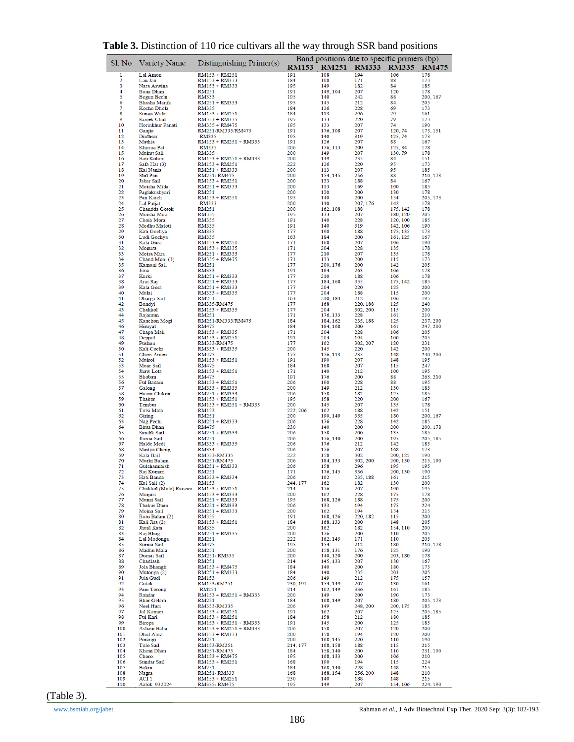|                     | ັ້                                             |                                          | $\alpha$ . The mass of $\alpha$ is the value of $\alpha$ in $\alpha$ is the position<br>Band positions due to specific primers (bp) |                      |                      |                      |                      |  |  |  |
|---------------------|------------------------------------------------|------------------------------------------|-------------------------------------------------------------------------------------------------------------------------------------|----------------------|----------------------|----------------------|----------------------|--|--|--|
|                     | Sl. No Variety Name                            | Distinguishing $Primer(s)$               | <b>RM153</b>                                                                                                                        | <b>RM251</b>         | <b>RM333</b>         | <b>RM335</b>         | <b>RM475</b>         |  |  |  |
| 1                   | Lal Amon                                       | RM153 + RM251                            | 191                                                                                                                                 | 108                  | 194                  | 106                  | 178                  |  |  |  |
| $\overline{2}$<br>3 | Lau Jan<br>Nara Aswina                         | RM153 + RM333<br>RM153 + RM333           | 184<br>195                                                                                                                          | 108<br>149           | 171<br>182           | 88<br>84             | 173<br>185           |  |  |  |
| 4                   | <b>Buna Dhan</b>                               | RM251                                    | 191                                                                                                                                 | 149, 104             | 207                  | 120                  | 178                  |  |  |  |
| 5<br>6              | Begun Bechi<br>Bhasha Manik                    | <b>RM333</b><br>RM251 + RM333            | 195<br>195                                                                                                                          | 140<br>145           | 242<br>212           | 88<br>84             | 200, 167<br>205      |  |  |  |
| 7                   | Kochu Dhola                                    | <b>RM335</b>                             | 184                                                                                                                                 | 126                  | 228                  | 69                   | 173                  |  |  |  |
| 8<br>9              | Sunga Wala<br>Konek Chul                       | RM153 + RM251<br>RM333 + RM335           | 184<br>195                                                                                                                          | 113<br>133           | 296<br>220           | 79<br>79             | 161<br>173           |  |  |  |
| 10                  | Horinkhur Panati                               | RM335 + RM475                            | 195                                                                                                                                 | 133                  | 207                  | 74                   | 190                  |  |  |  |
| 11<br>12            | Ganjia<br>Dudhsar                              | RM251/RM335/RM475<br><b>RM335</b>        | 191<br>195                                                                                                                          | 176, 108<br>140      | 207<br>319           | 120, 74<br>125, 74   | 173, 151<br>173      |  |  |  |
| 13<br>14            | Mathia<br>Khirma Pat                           | $RM153 + RM251 + RM333$                  | 191<br>206                                                                                                                          | 126<br>176.113       | 207<br>200           | 88                   | 167<br>178           |  |  |  |
| 15                  | <b>Mukut Sail</b>                              | RM335<br><b>RM335</b>                    | 200                                                                                                                                 | 149                  | 207                  | 125, 84<br>130, 79   | 178                  |  |  |  |
| 16<br>17            | <b>Ban Kolom</b><br>Safa Har (3)               | $RM153 + RM251 + RM333$<br>RM153 + RM251 | 200<br>222                                                                                                                          | 149<br>126           | 235<br>220           | 84<br>95             | 151<br>173           |  |  |  |
| 18                  | Kal Nania                                      | RM251 + RM333                            | 200                                                                                                                                 | 113                  | 207                  | 95                   | 185                  |  |  |  |
| 19<br>20            | Shil Pan<br><b>Jabar Sail</b>                  | RM251/RM475<br>$RM153 + RM251$           | 200<br>200                                                                                                                          | 154, 145<br>133      | 256<br>188           | 88<br>84             | 210, 173<br>167      |  |  |  |
| 21                  | Moisha Mida                                    | RM251 + RM333                            | 200                                                                                                                                 | 113                  | 169                  | 100                  | 185                  |  |  |  |
| 22<br>23            | Paglakushyari<br>Pan Kaich                     | <b>RM251</b><br>RM153 + RM251            | 200<br>195                                                                                                                          | 120<br>140           | 200<br>200           | 130<br>154           | 178<br>205, 173      |  |  |  |
| 24                  | <b>Lal Patjat</b>                              | <b>RM333</b>                             | 200                                                                                                                                 | 140                  | 207, 176             | 142                  | 178                  |  |  |  |
| 25<br>26            | Chandda Gotok<br>Moisha Mira                   | RM251<br><b>RM335</b>                    | 200<br>195                                                                                                                          | 162.108<br>133       | 188<br>207           | 175, 142<br>180, 120 | 178<br>205           |  |  |  |
| 27<br>28            | Choia Mora<br>Modhu Maloti                     | <b>RM335</b><br><b>RM335</b>             | 191<br>191                                                                                                                          | 140<br>140           | 228<br>319           | 120, 100             | 185<br>190           |  |  |  |
| 29                  | Kali Gochya                                    | <b>RM335</b>                             | 177                                                                                                                                 | 190                  | 188                  | 142, 106<br>175, 135 | 173                  |  |  |  |
| 30<br>31            | Ludi Gochya<br>Kala Gura                       | <b>RM335</b><br>RM153 + RM251            | 163<br>171                                                                                                                          | 184<br>168           | 200<br>207           | 161, 125<br>106      | 167<br>190           |  |  |  |
| 32                  | Monura                                         | RM153 + RM335                            | 171                                                                                                                                 | 204                  | 228                  | 135                  | 178                  |  |  |  |
| 33<br>34            | Moisa Mira<br>Chand Moni (3)                   | RM251 + RM333<br>RM335 + RM475           | 177<br>171                                                                                                                          | 210<br>133           | 207<br>200           | 135<br>115           | 178<br>173           |  |  |  |
| 35                  | Kamoni Sail                                    | RM251                                    | 177                                                                                                                                 | 200, 176             | 200                  | 142                  | 205                  |  |  |  |
| 36<br>37            | Juna<br>Kurki                                  | <b>RM333</b><br>RM251 + RM333            | 191<br>177                                                                                                                          | 184<br>210           | 263<br>188           | 106<br>106           | 178<br>178           |  |  |  |
| 38                  | Arai Raj                                       | RM251 + RM333                            | 177                                                                                                                                 | 184, 168             | 355                  | 175, 142             | 185                  |  |  |  |
| 39<br>40            | Kala Gora<br>Mulai                             | RM251 + RM333<br>RM333 + RM335           | 177<br>177                                                                                                                          | 204<br>204           | 220<br>188           | 125<br>115           | 200<br>200           |  |  |  |
| 41                  | Dharga Sail                                    | RM251                                    | 163                                                                                                                                 | 210, 184             | 212                  | 106                  | 195                  |  |  |  |
| 42<br>43            | Bondyl<br>Chakkol                              | RM335/RM475<br>RM153 + RM335             | 177<br>177                                                                                                                          | 168<br>204           | 220, 188<br>302, 200 | 125<br>115           | 240<br>200           |  |  |  |
| 44                  | Rajamun                                        | RM251                                    | 171                                                                                                                                 | 176, 133             | 228                  | 161                  | 210                  |  |  |  |
| 45<br>46            | Kanchon Mogi<br><b>Hiruyal</b>                 | RM251/RM333/RM475<br><b>RM475</b>        | 184<br>184                                                                                                                          | 184, 162<br>184, 168 | 235, 188<br>200      | 125<br>161           | 237, 200<br>247, 200 |  |  |  |
| 47                  | Chapa Mali                                     | RM153 + RM335                            | 171                                                                                                                                 | 204                  | 228                  | 106                  | 205                  |  |  |  |
| 48<br>49            | Deppol<br>Pushon                               | RM153 + RM251<br>RM333/RM475             | 191<br>177                                                                                                                          | 204<br>162           | 194<br>302, 207      | 100<br>120           | 205<br>231           |  |  |  |
| 50                  | Kali Cochr                                     | RM333 + RM335                            | 200                                                                                                                                 | 145                  | 220                  | 142                  | 200                  |  |  |  |
| 51<br>52            | Ghori Amon<br>Muirol                           | <b>RM475</b><br>$RM153 + RM251$          | 177<br>191                                                                                                                          | 176, 113<br>190      | 235<br>207           | 148<br>148           | 240, 200<br>195      |  |  |  |
| 53                  | Muar Sail                                      | <b>RM475</b>                             | 184                                                                                                                                 | 168                  | 207                  | 115                  | 247                  |  |  |  |
| 54<br>55            | Jhaw Lota<br><b>Bhoban</b>                     | $RM153 + RM251$<br><b>RM475</b>          | 171<br>191                                                                                                                          | 140<br>176           | 212<br>200           | 100<br>88            | 195<br>263, 210      |  |  |  |
| 56                  | Ful Badam                                      | RM153 + RM251                            | 206                                                                                                                                 | 190                  | 228                  | 88                   | 195                  |  |  |  |
| 57<br>58            | Galong<br>Hasna Chikon                         | RM333 + RM335<br>$RM251 + RM333$         | 200<br>206                                                                                                                          | 149<br>158           | 212<br>182           | 130<br>125           | 185<br>185           |  |  |  |
| 59                  | <b>Thakor</b>                                  | RM153 + RM251                            | 195                                                                                                                                 | 158                  | 220                  | 200                  | 167                  |  |  |  |
| 60<br>61            | Tembur<br>Tulsi Mala                           | RM153 + RM251 + RM333<br><b>RM153</b>    | 200<br>222, 206                                                                                                                     | 145<br>162           | 207<br>188           | 135<br>142           | 178<br>151           |  |  |  |
| 62                  | Giring                                         | RM251                                    | 200                                                                                                                                 | 190, 149             | 355                  | 180                  | 200, 167             |  |  |  |
| 63<br>64            | Nag Pechi<br><b>Bhua Dhan</b>                  | $RM251 + RM333$<br><b>RM475</b>          | 206<br>230                                                                                                                          | 176<br>140           | 228<br>200           | 142<br>200           | 185<br>200, 178      |  |  |  |
| 65                  | <b>Sandik Sail</b>                             | RM251 + RM333                            | 206                                                                                                                                 | 158                  | 200                  | 135                  | 185                  |  |  |  |
| 66<br>67            | Jhoria Sail<br>Halde Medi                      | RM251<br>RM333 + RM335                   | 206<br>206                                                                                                                          | 176, 140<br>176      | 200<br>212           | 195<br>142           | 205, 185<br>185      |  |  |  |
| 68                  | Maitya Cheng                                   | <b>RM334</b>                             | 206                                                                                                                                 | 176                  | 207                  | 168                  | 173                  |  |  |  |
| 69<br>70            | Kala Bail<br>Murki Balam                       | RM333/RM335<br>RM251/RM475               | 222<br>206                                                                                                                          | 158<br>184.133       | 302<br>302, 200      | 200, 125<br>200, 130 | 190<br>215, 190      |  |  |  |
| 71                  | Gulchamlaish                                   | RM251 + RM333                            | 206                                                                                                                                 | 158                  | 296                  | 195                  | 195                  |  |  |  |
| 72<br>73            | Raj Kumari<br>Hati Banda                       | RM251<br>RM333 + RM334                   | 171<br>206                                                                                                                          | 176, 145<br>162      | 336<br>235, 188      | 200, 130<br>161      | 190<br>215           |  |  |  |
| 74                  | Kui Sail (2)                                   | <b>RM153</b>                             | 244, 177                                                                                                                            | 162                  | 182                  | 130                  | 200                  |  |  |  |
| 75<br>76            | Chakkol (Muta) Raozan RM153 + RM251<br>Muijuri | RM153 + RM333                            | 214<br>200                                                                                                                          | 176<br>162           | 207<br>228           | 190<br>175           | 195<br>178           |  |  |  |
| 77<br>78            | Munsi Sail<br><b>Thakur Dhan</b>               | RM251 + RM333<br>RM251 + RM333           | 195<br>206                                                                                                                          | 168, 126<br>133      | 188<br>194           | 175<br>175           | 200<br>224           |  |  |  |
| 79                  | Moina Sail                                     | RM251 + RM333                            | 200                                                                                                                                 | 162                  | 194                  | 154                  | 215                  |  |  |  |
| 80<br>81            | Butu Balam (2)<br>Kali Jira (2)                | <b>RM335</b><br>RM153 + RM251            | 191<br>184                                                                                                                          | 168, 126<br>168, 133 | 220.182<br>200       | 115<br>148           | 200<br>205           |  |  |  |
| 82                  | Jhual Kata                                     | <b>RM335</b>                             | 200                                                                                                                                 | 162                  | 182                  | 154, 110             | 200                  |  |  |  |
| 83<br>84            | Raj Bhog<br>Lal Modonga                        | RM251 + RM335<br><b>RM251</b>            | 200<br>222                                                                                                                          | 176<br>162, 145      | 200<br>171           | 110<br>110           | 205<br>205           |  |  |  |
| 85                  | Surma Sail                                     | <b>RM475</b>                             | 195                                                                                                                                 | 154                  | 212                  | 180                  | 210, 178             |  |  |  |
| 86<br>87            | Madhu Mala<br>Dumai Sail                       | <b>RM251</b><br>RM251/RM335              | 200<br>200                                                                                                                          | 158, 131<br>140, 120 | 176<br>200           | 125<br>203, 180      | 190<br>178           |  |  |  |
| 88                  | Chadlash                                       | <b>RM251</b>                             | 214                                                                                                                                 | 145.133              | 207                  | 130                  | 167                  |  |  |  |
| 89<br>90            | Jola Bhangh<br>Mutonga (2)                     | RM153 + RM475<br>RM251 + RM333           | 184<br>184                                                                                                                          | 140<br>140           | 200<br>235           | 180<br>203           | 173<br>205           |  |  |  |
| 91                  | Jula Gudi                                      | <b>RM153</b>                             | 206                                                                                                                                 | 149                  | 212                  | 175                  | 157                  |  |  |  |
| 92<br>93            | Gutok<br>Pani Torong                           | RM153/RM251<br>RM251                     | 230.191<br>214                                                                                                                      | 154, 149<br>162, 149 | 207<br>336           | 130<br>161           | 161<br>185           |  |  |  |
| 94                  | Randar                                         | RM153 + RM251 + RM333                    | 200                                                                                                                                 | 149                  | 200                  | 190                  | 173                  |  |  |  |
| 95<br>96            | <b>Bhor</b> Gelam<br>Neel Huri                 | RM251<br>RM333/RM335                     | 184<br>206                                                                                                                          | 168, 149<br>149      | 207<br>248, 200      | 180<br>200, 175      | 205, 173<br>185      |  |  |  |
| 97                  | Jol Kumari                                     | RM153 + RM251                            | 191                                                                                                                                 | 162                  | 207                  | 125                  | 205, 185             |  |  |  |
| 98<br>99            | Ful Kari<br><b>Biropa</b>                      | $RM153 + RM251$<br>RM153 + RM251 + RM333 | 184<br>191                                                                                                                          | 158<br>145           | 212<br>200           | 180<br>125           | 185<br>185           |  |  |  |
| 100                 | Asham Baba                                     | RM153 + RM251 + RM333                    | 206                                                                                                                                 | 158                  | 207                  | 120                  | 200                  |  |  |  |
| 101<br>102          | Dhul Abiz<br>Porangi                           | RM153 + RM333<br>RM251                   | 200<br>200                                                                                                                          | 158<br>168, 145      | 194<br>220           | 120<br>110           | 200<br>190           |  |  |  |
| 103                 | <b>Tulo Sail</b>                               | RM153/RM251                              | 214, 177                                                                                                                            | 168, 158             | 188                  | 115                  | 215                  |  |  |  |
| 104<br>105          | Khoni Dhan<br>Choro                            | RM251/RM475<br>RM153 + RM475             | 184<br>195                                                                                                                          | 158, 140<br>168, 133 | 200<br>200           | 110<br>106           | 231, 190<br>210      |  |  |  |
| 106                 | Sundar Sail                                    | $RM153 + RM251$                          | 168                                                                                                                                 | 190                  | 194                  | 115                  | 224                  |  |  |  |
| 107<br>108          | <b>Bokra</b><br>Nagra                          | RM251<br>RM251/RM333                     | 184<br>168                                                                                                                          | 168, 140<br>168, 154 | 228<br>256, 200      | 148<br>148           | 215<br>210           |  |  |  |
| 109                 | ACI <sub>1</sub>                               | $RM153 + RM251$                          | 230                                                                                                                                 | 140                  | 188                  | 148                  | 215                  |  |  |  |
| 110                 | Aalok 932024                                   | RM335/RM475                              | 195                                                                                                                                 | 149                  | 207                  | 154, 106             | 224, 190             |  |  |  |

**Table 3.** Distinction of 110 rice cultivars all the way through SSR band positions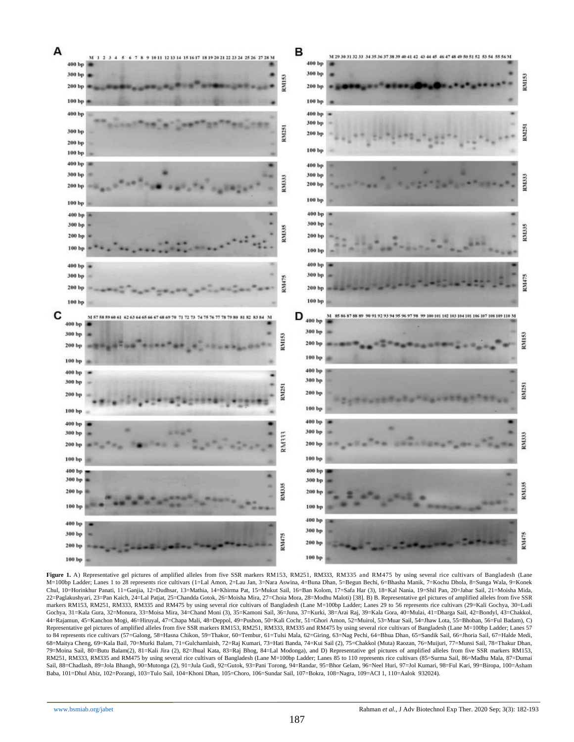

Figure 1. A) Representative gel pictures of amplified alleles from five SSR markers RM153, RM251, RM333, RM335 and RM475 by using several rice cultivars of Bangladesh (Lane M=100bp Ladder; Lanes 1 to 28 represents rice cultivars (1=Lal Amon, 2=Lau Jan, 3=Nara Aswina, 4=Buna Dhan, 5=Begun Bechi, 6=Bhasha Manik, 7=Kochu Dhola, 8=Sunga Wala, 9=Konek Chul, 10=Horinkhur Panati, 11=Ganjia, 12=Dudhsar, 13=Mathia, 14=Khirma Pat, 15=Mukut Sail, 16=Ban Kolom, 17=Safa Har (3), 18=Kal Nania, 19=Shil Pan, 20=Jabar Sail, 21=Moisha Mida, 22=Paglakushyari, 23=Pan Kaich, 24=Lal Patjat, 25=Chandda Gotok, 26=Moisha Mira, 27=Choia Mora, 28=Modhu Maloti) [38]. B) B. Representative gel pictures of amplified alleles from five SSR markers RM153, RM251, RM333, RM335 and RM475 by using several rice cultivars of Bangladesh (Lane M=100bp Ladder; Lanes 29 to 56 represents rice cultivars (29=Kali Gochya, 30=Ludi Gochya, 31=Kala Gura, 32=Monura, 33=Moisa Mira, 34=Chand Moni (3), 35=Kamoni Sail, 36=Juna, 37=Kurki, 38=Arai Raj, 39=Kala Gora, 40=Mulai, 41=Dharga Sail, 42=Bondyl, 43=Chakkol, 44=Rajamun, 45=Kanchon Mogi, 46=Hiruyal, 47=Chapa Mali, 48=Deppol, 49=Pushon, 50=Kali Cochr, 51=Ghori Amon, 52=Muirol, 53=Muar Sail, 54=Jhaw Lota, 55=Bhoban, 56=Ful Badam), C) Representative gel pictures of amplified alleles from five SSR markers RM153, RM251, RM333, RM335 and RM475 by using several rice cultivars of Bangladesh (Lane M=100bp Ladder; Lanes 57 to 84 represents rice cultivars (57=Galong, 58=Hasna Chikon, 59=Thakor, 60=Tembur, 61=Tulsi Mala, 62=Giring, 63=Nag Pechi, 64=Bhua Dhan, 65=Sandik Sail, 66=Jhoria Sail, 67=Halde Medi, 68=Maitya Cheng, 69=Kala Bail, 70=Murki Balam, 71=Gulchamlaish, 72=Raj Kumari, 73=Hati Banda, 74=Kui Sail (2), 75=Chakkol (Muta) Raozan, 76=Muijuri, 77=Munsi Sail, 78=Thakur Dhan, 79=Moina Sail, 80=Butu Balam(2), 81=Kali Jira (2), 82=Jhual Kata, 83=Raj Bhog, 84=Lal Modonga), and D) Representative gel pictures of amplified alleles from five SSR markers RM153, RM251, RM333, RM335 and RM475 by using several rice cultivars of Bangladesh (Lane M=100bp Ladder; Lanes 85 to 110 represents rice cultivars (85=Surma Sail, 86=Madhu Mala, 87=Dumai Sail, 88=Chadlash, 89=Jola Bhangh, 90=Mutonga (2), 91=Jula Gudi, 92=Gutok, 93=Pani Torong, 94=Randar, 95=Bhor Gelam, 96=Neel Huri, 97=Jol Kumari, 98=Ful Kari, 99=Biropa, 100=Asham Baba, 101=Dhul Abiz, 102=Porangi, 103=Tulo Sail, 104=Khoni Dhan, 105=Choro, 106=Sundar Sail, 107=Bokra, 108=Nagra, 109=ACI 1, 110=Aalok 932024).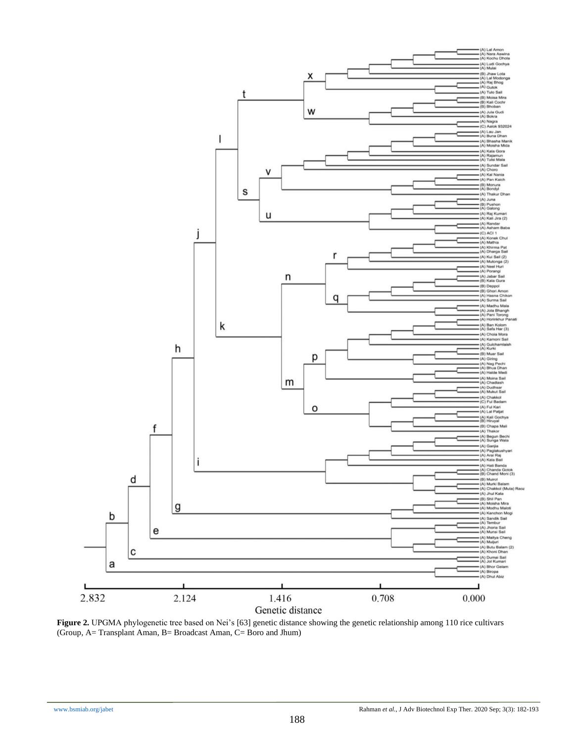

**Figure 2.** UPGMA phylogenetic tree based on Nei's [63] genetic distance showing the genetic relationship among 110 rice cultivars (Group, A= Transplant Aman, B= Broadcast Aman, C= Boro and Jhum)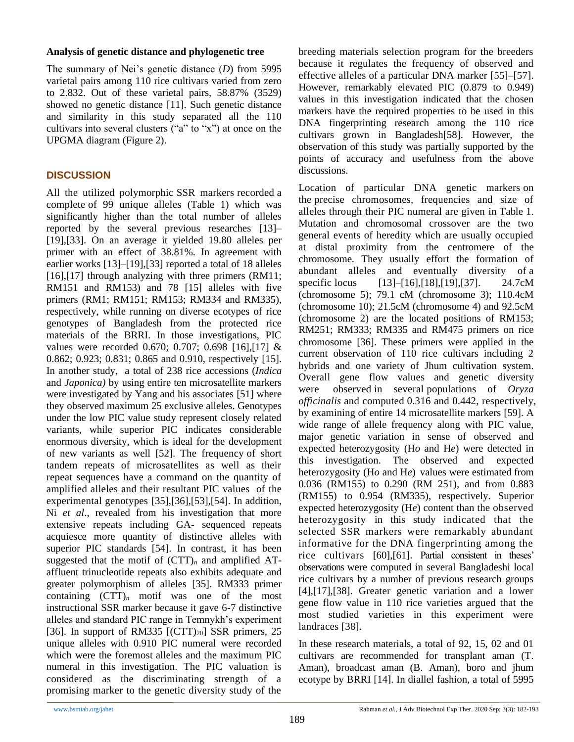### **Analysis of genetic distance and phylogenetic tree**

The summary of Nei's genetic distance (*D*) from 5995 varietal pairs among 110 rice cultivars varied from zero to 2.832. Out of these varietal pairs, 58.87% (3529) showed no genetic distance [11]. Such genetic distance and similarity in this study separated all the 110 cultivars into several clusters ("a" to "x") at once on the UPGMA diagram (Figure 2).

### **DISCUSSION**

All the utilized polymorphic SSR markers recorded a complete of 99 unique alleles (Table 1) which was significantly higher than the total number of alleles reported by the several previous researches [13]– [19],[33]. On an average it yielded 19.80 alleles per primer with an effect of 38.81%. In agreement with earlier works [13]–[19],[33] reported a total of 18 alleles [16],[17] through analyzing with three primers (RM11; RM151 and RM153) and 78 [15] alleles with five primers (RM1; RM151; RM153; RM334 and RM335), respectively, while running on diverse ecotypes of rice genotypes of Bangladesh from the protected rice materials of the BRRI. In those investigations, PIC values were recorded 0.670; 0.707; 0.698 [16],[17] & 0.862; 0.923; 0.831; 0.865 and 0.910, respectively [15]. In another study, a total of 238 rice accessions (*Indica*  and *Japonica)* by using entire ten microsatellite markers were investigated by Yang and his associates [51] where they observed maximum 25 exclusive alleles. Genotypes under the low PIC value study represent closely related variants, while superior PIC indicates considerable enormous diversity, which is ideal for the development of new variants as well [52]. The frequency of short tandem repeats of microsatellites as well as their repeat sequences have a command on the quantity of amplified alleles and their resultant PIC values of the experimental genotypes [35],[36],[53],[54]. In addition, Ni *et al*., revealed from his investigation that more extensive repeats including GA- sequenced repeats acquiesce more quantity of distinctive alleles with superior PIC standards [54]. In contrast, it has been suggested that the motif of  $(CTT)<sub>n</sub>$  and amplified ATaffluent trinucleotide repeats also exhibits adequate and greater polymorphism of alleles [35]. RM333 primer containing  $(CTT)<sub>n</sub>$  motif was one of the most instructional SSR marker because it gave 6-7 distinctive alleles and standard PIC range in Temnykh's experiment [36]. In support of RM335  $[(CTT)<sub>20</sub>]$  SSR primers, 25 unique alleles with 0.910 PIC numeral were recorded which were the foremost alleles and the maximum PIC numeral in this investigation. The PIC valuation is considered as the discriminating strength of a promising marker to the genetic diversity study of the

breeding materials selection program for the breeders because it regulates the frequency of observed and effective alleles of a particular DNA marker [55]–[57]. However, remarkably elevated PIC (0.879 to 0.949) values in this investigation indicated that the chosen markers have the required properties to be used in this DNA fingerprinting research among the 110 rice cultivars grown in Bangladesh[58]. However, the observation of this study was partially supported by the points of accuracy and usefulness from the above discussions.

Location of particular DNA genetic markers on the precise chromosomes, frequencies and size of alleles through their PIC numeral are given in Table 1. Mutation and chromosomal crossover are the two general events of heredity which are usually occupied at distal proximity from the centromere of the chromosome. They usually effort the formation of abundant alleles and eventually diversity of a specific locus [13]–[16],[18],[19],[37]. 24.7cM (chromosome 5); 79.1 cM (chromosome 3); 110.4cM (chromosome 10); 21.5cM (chromosome 4) and 92.5cM (chromosome 2) are the located positions of RM153; RM251; RM333; RM335 and RM475 primers on rice chromosome [36]. These primers were applied in the current observation of 110 rice cultivars including 2 hybrids and one variety of Jhum cultivation system. Overall gene flow values and genetic diversity were observed in several populations of *Oryza officinalis* and computed 0.316 and 0.442, respectively, by examining of entire 14 microsatellite markers [59]. A wide range of allele frequency along with PIC value, major genetic variation in sense of observed and expected heterozygosity (H*o* and H*e*) were detected in this investigation. The observed and expected heterozygosity (H*o* and H*e*) values were estimated from 0.036 (RM155) to 0.290 (RM 251), and from 0.883 (RM155) to 0.954 (RM335), respectively. Superior expected heterozygosity (H*e*) content than the observed heterozygosity in this study indicated that the selected SSR markers were remarkably abundant informative for the DNA fingerprinting among the rice cultivars [60],[61]. Partial consistent in theses' observations were computed in several Bangladeshi local rice cultivars by a number of previous research groups [4],[17],[38]. Greater genetic variation and a lower gene flow value in 110 rice varieties argued that the most studied varieties in this experiment were landraces [38].

In these research materials, a total of 92, 15, 02 and 01 cultivars are recommended for transplant aman (T. Aman), broadcast aman (B. Aman), boro and jhum ecotype by BRRI [14]. In diallel fashion, a total of 5995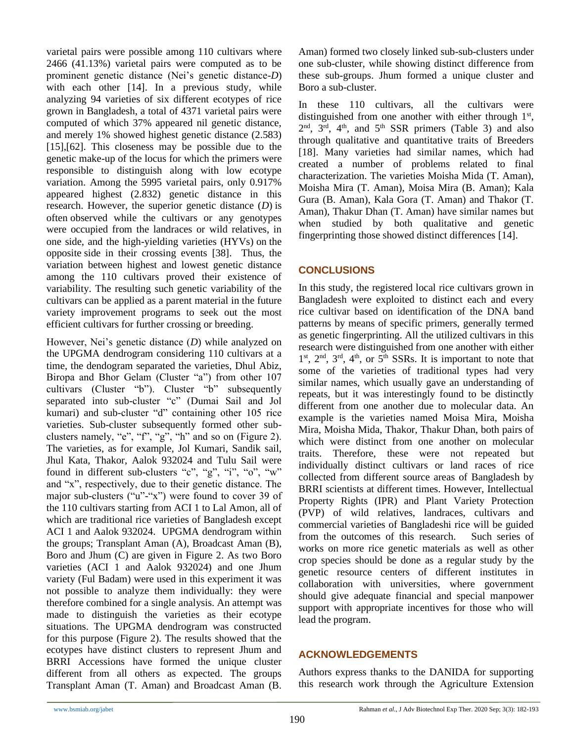varietal pairs were possible among 110 cultivars where 2466 (41.13%) varietal pairs were computed as to be prominent genetic distance (Nei's genetic distance-*D*) with each other [14]. In a previous study, while analyzing 94 varieties of six different ecotypes of rice grown in Bangladesh, a total of 4371 varietal pairs were computed of which 37% appeared nil genetic distance, and merely 1% showed highest genetic distance (2.583) [15],[62]. This closeness may be possible due to the genetic make-up of the locus for which the primers were responsible to distinguish along with low ecotype variation. Among the 5995 varietal pairs, only 0.917% appeared highest (2.832) genetic distance in this research. However, the superior genetic distance (*D*) is often observed while the cultivars or any genotypes were occupied from the landraces or wild relatives, in one side, and the high-yielding varieties (HYVs) on the opposite side in their crossing events [38]. Thus, the variation between highest and lowest genetic distance among the 110 cultivars proved their existence of variability. The resulting such genetic variability of the cultivars can be applied as a parent material in the future variety improvement programs to seek out the most efficient cultivars for further crossing or breeding.

However, Nei's genetic distance (*D*) while analyzed on the UPGMA dendrogram considering 110 cultivars at a time, the dendogram separated the varieties, Dhul Abiz, Biropa and Bhor Gelam (Cluster "a") from other 107 cultivars (Cluster "b"). Cluster "b" subsequently separated into sub-cluster "c" (Dumai Sail and Jol kumari) and sub-cluster "d" containing other 105 rice varieties. Sub-cluster subsequently formed other subclusters namely, "e", "f", "g", "h" and so on (Figure 2). The varieties, as for example, Jol Kumari, Sandik sail, Jhul Kata, Thakor, Aalok 932024 and Tulu Sail were found in different sub-clusters "c", "g", "i", "o", "w" and "x", respectively, due to their genetic distance. The major sub-clusters ("u"-"x") were found to cover 39 of the 110 cultivars starting from ACI 1 to Lal Amon, all of which are traditional rice varieties of Bangladesh except ACI 1 and Aalok 932024. UPGMA dendrogram within the groups; Transplant Aman (A), Broadcast Aman (B), Boro and Jhum (C) are given in Figure 2. As two Boro varieties (ACI 1 and Aalok 932024) and one Jhum variety (Ful Badam) were used in this experiment it was not possible to analyze them individually: they were therefore combined for a single analysis. An attempt was made to distinguish the varieties as their ecotype situations. The UPGMA dendrogram was constructed for this purpose (Figure 2). The results showed that the ecotypes have distinct clusters to represent Jhum and BRRI Accessions have formed the unique cluster different from all others as expected. The groups Transplant Aman (T. Aman) and Broadcast Aman (B. Aman) formed two closely linked sub-sub-clusters under one sub-cluster, while showing distinct difference from these sub-groups. Jhum formed a unique cluster and Boro a sub-cluster.

In these 110 cultivars, all the cultivars were distinguished from one another with either through  $1<sup>st</sup>$ ,  $2<sup>nd</sup>$ ,  $3<sup>rd</sup>$ ,  $4<sup>th</sup>$ , and  $5<sup>th</sup>$  SSR primers (Table 3) and also through qualitative and quantitative traits of Breeders [18]. Many varieties had similar names, which had created a number of problems related to final characterization. The varieties Moisha Mida (T. Aman), Moisha Mira (T. Aman), Moisa Mira (B. Aman); Kala Gura (B. Aman), Kala Gora (T. Aman) and Thakor (T. Aman), Thakur Dhan (T. Aman) have similar names but when studied by both qualitative and genetic fingerprinting those showed distinct differences [14].

### **CONCLUSIONS**

In this study, the registered local rice cultivars grown in Bangladesh were exploited to distinct each and every rice cultivar based on identification of the DNA band patterns by means of specific primers, generally termed as genetic fingerprinting. All the utilized cultivars in this research were distinguished from one another with either 1<sup>st</sup>, 2<sup>nd</sup>, 3<sup>rd</sup>, 4<sup>th</sup>, or 5<sup>th</sup> SSRs. It is important to note that some of the varieties of traditional types had very similar names, which usually gave an understanding of repeats, but it was interestingly found to be distinctly different from one another due to molecular data. An example is the varieties named Moisa Mira, Moisha Mira, Moisha Mida, Thakor, Thakur Dhan, both pairs of which were distinct from one another on molecular traits. Therefore, these were not repeated but individually distinct cultivars or land races of rice collected from different source areas of Bangladesh by BRRI scientists at different times. However, Intellectual Property Rights (IPR) and Plant Variety Protection (PVP) of wild relatives, landraces, cultivars and commercial varieties of Bangladeshi rice will be guided from the outcomes of this research. Such series of works on more rice genetic materials as well as other crop species should be done as a regular study by the genetic resource centers of different institutes in collaboration with universities, where government should give adequate financial and special manpower support with appropriate incentives for those who will lead the program.

### **ACKNOWLEDGEMENTS**

Authors express thanks to the DANIDA for supporting this research work through the Agriculture Extension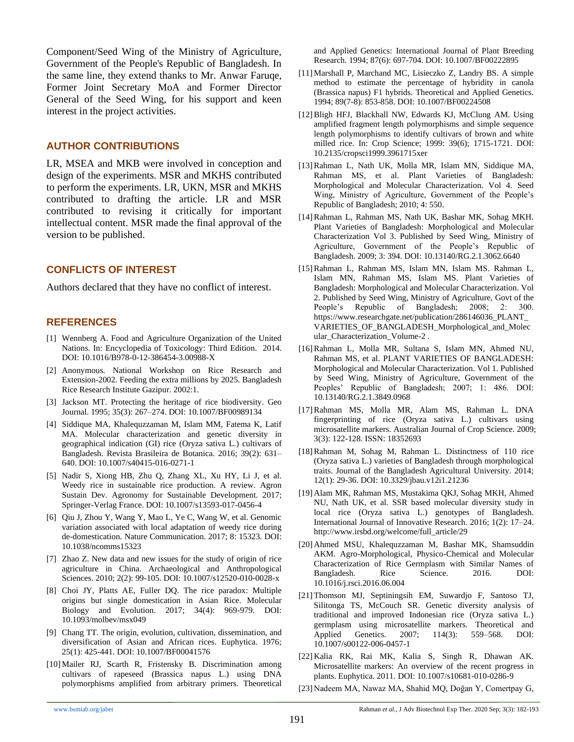Component/Seed Wing of the Ministry of Agriculture, Government of the People's Republic of Bangladesh. In the same line, they extend thanks to Mr. Anwar Faruqe, Former Joint Secretary MoA and Former Director General of the Seed Wing, for his support and keen interest in the project activities.

#### **AUTHOR CONTRIBUTIONS**

LR, MSEA and MKB were involved in conception and design of the experiments. MSR and MKHS contributed to perform the experiments. LR, UKN, MSR and MKHS contributed to drafting the article. LR and MSR contributed to revising it critically for important intellectual content. MSR made the final approval of the version to be published.

### **CONFLICTS OF INTEREST**

Authors declared that they have no conflict of interest.

#### **REFERENCES**

- [1] Wennberg A. Food and Agriculture Organization of the United Nations. In: Encyclopedia of Toxicology: Third Edition. 2014. DOI: 10.1016/B978-0-12-386454-3.00988-X
- [2] Anonymous. National Workshop on Rice Research and Extension-2002. Feeding the extra millions by 2025. Bangladesh Rice Research Institute Gazipur. 2002:1.
- [3] Jackson MT. Protecting the heritage of rice biodiversity. Geo Journal. 1995; 35(3): 267–274. DOI: 10.1007/BF00989134
- [4] Siddique MA, Khalequzzaman M, Islam MM, Fatema K, Latif MA. Molecular characterization and genetic diversity in geographical indication (GI) rice (Oryza sativa L.) cultivars of Bangladesh. Revista Brasileira de Botanica. 2016; 39(2): 631– 640. DOI: 10.1007/s40415-016-0271-1
- [5] Nadir S, Xiong HB, Zhu Q, Zhang XL, Xu HY, Li J, et al. Weedy rice in sustainable rice production. A review. Agron Sustain Dev. Agronomy for Sustainable Development. 2017; Springer-Verlag France. DOI: 10.1007/s13593-017-0456-4
- [6] Qiu J, Zhou Y, Wang Y, Mao L, Ye C, Wang W, et al. Genomic variation associated with local adaptation of weedy rice during de-domestication. Nature Communication. 2017; 8: 15323. DOI: 10.1038/ncomms15323
- [7] Zhao Z. New data and new issues for the study of origin of rice agriculture in China. Archaeological and Anthropological Sciences. 2010; 2(2): 99-105. DOI: 10.1007/s12520-010-0028-x
- [8] Choi JY, Platts AE, Fuller DQ. The rice paradox: Multiple origins but single domestication in Asian Rice. Molecular Biology and Evolution. 2017; 34(4): 969-979. DOI: 10.1093/molbev/msx049
- [9] Chang TT. The origin, evolution, cultivation, dissemination, and diversification of Asian and African rices. Euphytica. 1976; 25(1): 425-441. DOI: 10.1007/BF00041576
- [10] Mailer RJ, Scarth R, Fristensky B. Discrimination among cultivars of rapeseed (Brassica napus L.) using DNA polymorphisms amplified from arbitrary primers. Theoretical

and Applied Genetics: International Journal of Plant Breeding Research. 1994; 87(6): 697-704. DOI: 10.1007/BF00222895

- [11] Marshall P, Marchand MC, Lisieczko Z, Landry BS. A simple method to estimate the percentage of hybridity in canola (Brassica napus) F1 hybrids. Theoretical and Applied Genetics. 1994; 89(7-8): 853-858. DOI: 10.1007/BF00224508
- [12] Bligh HFJ, Blackhall NW, Edwards KJ, McClung AM. Using amplified fragment length polymorphisms and simple sequence length polymorphisms to identify cultivars of brown and white milled rice. In: Crop Science; 1999: 39(6); 1715-1721. DOI: 10.2135/cropsci1999.3961715xer
- [13]Rahman L, Nath UK, Molla MR, Islam MN, Siddique MA, Rahman MS, et al. Plant Varieties of Bangladesh: Morphological and Molecular Characterization. Vol 4. Seed Wing, Ministry of Agriculture, Government of the People's Republic of Bangladesh; 2010; 4: 550.
- [14]Rahman L, Rahman MS, Nath UK, Bashar MK, Sohag MKH. Plant Varieties of Bangladesh: Morphological and Molecular Characterization Vol 3. Published by Seed Wing, Ministry of Agriculture, Government of the People's Republic of Bangladesh. 2009; 3: 394. DOI: 10.13140/RG.2.1.3062.6640
- [15]Rahman L, Rahman MS, Islam MN, Islam MS. Rahman L, Islam MN, Rahman MS, Islam MS. Plant Varieties of Bangladesh: Morphological and Molecular Characterization. Vol 2. Published by Seed Wing, Ministry of Agriculture, Govt of the People's Republic of Bangladesh; 2008; 2: 300. https://www.researchgate.net/publication/286146036\_PLANT\_ VARIETIES\_OF\_BANGLADESH\_Morphological\_and\_Molec ular\_Characterization\_Volume-2 .
- [16]Rahman L, Molla MR, Sultana S, Islam MN, Ahmed NU, Rahman MS, et al. PLANT VARIETIES OF BANGLADESH: Morphological and Molecular Characterization. Vol 1. Published by Seed Wing, Ministry of Agriculture, Government of the Peoples' Republic of Bangladesh; 2007; 1: 486. DOI: 10.13140/RG.2.1.3849.0968
- [17]Rahman MS, Molla MR, Alam MS, Rahman L. DNA fingerprinting of rice (Oryza sativa L.) cultivars using microsatellite markers. Australian Journal of Crop Science. 2009; 3(3): 122-128. ISSN: 18352693
- [18]Rahman M, Sohag M, Rahman L. Distinctness of 110 rice (Oryza sativa L.) varieties of Bangladesh through morphological traits. Journal of the Bangladesh Agricultural University. 2014; 12(1): 29-36. DOI: 10.3329/jbau.v12i1.21236
- [19] Alam MK, Rahman MS, Mustakima QKJ, Sohag MKH, Ahmed NU, Nath UK, et al. SSR based molecular diversity study in local rice (Oryza sativa L.) genotypes of Bangladesh. International Journal of Innovative Research. 2016; 1(2): 17–24. http://www.irsbd.org/welcome/full\_article/29
- [20] Ahmed MSU, Khalequzzaman M, Bashar MK, Shamsuddin AKM. Agro-Morphological, Physico-Chemical and Molecular Characterization of Rice Germplasm with Similar Names of Bangladesh. Rice Science. 2016. DOI: 10.1016/j.rsci.2016.06.004
- [21]Thomson MJ, Septiningsih EM, Suwardjo F, Santoso TJ, Silitonga TS, McCouch SR. Genetic diversity analysis of traditional and improved Indonesian rice (Oryza sativa L.) germplasm using microsatellite markers. Theoretical and Applied Genetics. 2007; 114(3): 559–568. DOI: 10.1007/s00122-006-0457-1
- [22] Kalia RK, Rai MK, Kalia S, Singh R, Dhawan AK. Microsatellite markers: An overview of the recent progress in plants. Euphytica. 2011. DOI: 10.1007/s10681-010-0286-9
- [23] Nadeem MA, Nawaz MA, Shahid MQ, Doğan Y, Comertpay G,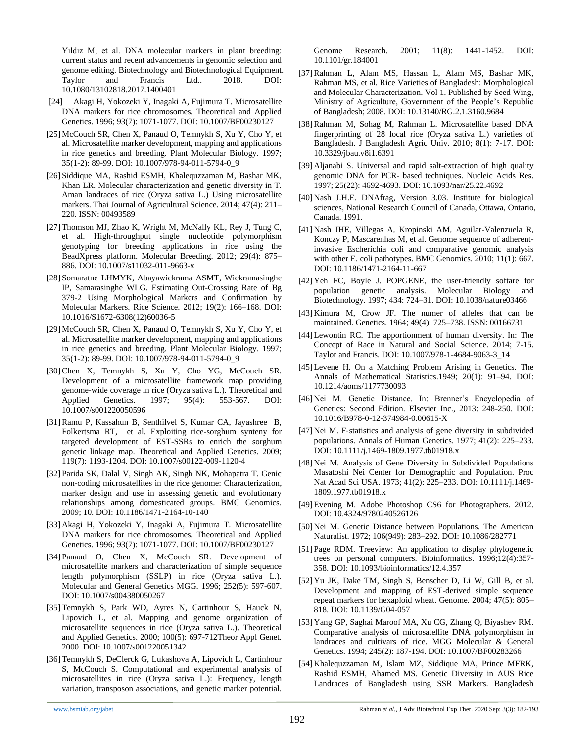Yıldız M, et al. DNA molecular markers in plant breeding: current status and recent advancements in genomic selection and genome editing. Biotechnology and Biotechnological Equipment. Taylor and Francis Ltd.. 2018. DOI: 10.1080/13102818.2017.1400401

- [24] Akagi H, Yokozeki Y, Inagaki A, Fujimura T. Microsatellite DNA markers for rice chromosomes. Theoretical and Applied Genetics. 1996; 93(7): 1071-1077. DOI: 10.1007/BF00230127
- [25] McCouch SR, Chen X, Panaud O, Temnykh S, Xu Y, Cho Y, et al. Microsatellite marker development, mapping and applications in rice genetics and breeding. Plant Molecular Biology. 1997; 35(1-2): 89-99. DOI: 10.1007/978-94-011-5794-0\_9
- [26] Siddique MA, Rashid ESMH, Khalequzzaman M, Bashar MK, Khan LR. Molecular characterization and genetic diversity in T. Aman landraces of rice (Oryza sativa L.) Using microsatellite markers. Thai Journal of Agricultural Science. 2014; 47(4): 211– 220. ISSN: 00493589
- [27] Thomson MJ, Zhao K, Wright M, McNally KL, Rey J, Tung C, et al. High-throughput single nucleotide polymorphism genotyping for breeding applications in rice using the BeadXpress platform. Molecular Breeding. 2012; 29(4): 875– 886. DOI: 10.1007/s11032-011-9663-x
- [28] Somaratne LHMYK, Abayawickrama ASMT, Wickramasinghe IP, Samarasinghe WLG. Estimating Out-Crossing Rate of Bg 379-2 Using Morphological Markers and Confirmation by Molecular Markers. Rice Science. 2012; 19(2): 166–168. DOI: 10.1016/S1672-6308(12)60036-5
- [29] McCouch SR, Chen X, Panaud O, Temnykh S, Xu Y, Cho Y, et al. Microsatellite marker development, mapping and applications in rice genetics and breeding. Plant Molecular Biology. 1997; 35(1-2): 89-99. DOI: 10.1007/978-94-011-5794-0\_9
- [30]Chen X, Temnykh S, Xu Y, Cho YG, McCouch SR. Development of a microsatellite framework map providing genome-wide coverage in rice (Oryza sativa L.). Theoretical and Applied Genetics. 1997; 95(4): 553-567. DOI: 10.1007/s001220050596
- [31]Ramu P, Kassahun B, Senthilvel S, Kumar CA, Jayashree B, Folkertsma RT, et al. Exploiting rice-sorghum synteny for targeted development of EST-SSRs to enrich the sorghum genetic linkage map. Theoretical and Applied Genetics. 2009; 119(7): 1193-1204. DOI: 10.1007/s00122-009-1120-4
- [32] Parida SK, Dalal V, Singh AK, Singh NK, Mohapatra T. Genic non-coding microsatellites in the rice genome: Characterization, marker design and use in assessing genetic and evolutionary relationships among domesticated groups. BMC Genomics. 2009; 10. DOI: 10.1186/1471-2164-10-140
- [33] Akagi H, Yokozeki Y, Inagaki A, Fujimura T. Microsatellite DNA markers for rice chromosomes. Theoretical and Applied Genetics. 1996; 93(7): 1071-1077. DOI: 10.1007/BF00230127
- [34] Panaud O, Chen X, McCouch SR. Development of microsatellite markers and characterization of simple sequence length polymorphism (SSLP) in rice (Oryza sativa L.). Molecular and General Genetics MGG. 1996; 252(5): 597-607. DOI: 10.1007/s004380050267
- [35]Temnykh S, Park WD, Ayres N, Cartinhour S, Hauck N, Lipovich L, et al. Mapping and genome organization of microsatellite sequences in rice (Oryza sativa L.). Theoretical and Applied Genetics. 2000; 100(5): 697-712Theor Appl Genet. 2000. DOI: 10.1007/s001220051342
- [36]Temnykh S, DeClerck G, Lukashova A, Lipovich L, Cartinhour S, McCouch S. Computational and experimental analysis of microsatellites in rice (Oryza sativa L.): Frequency, length variation, transposon associations, and genetic marker potential.

Genome Research. 2001; 11(8): 1441-1452. DOI: 10.1101/gr.184001

- [37]Rahman L, Alam MS, Hassan L, Alam MS, Bashar MK, Rahman MS, et al. Rice Varieties of Bangladesh: Morphological and Molecular Characterization. Vol 1. Published by Seed Wing, Ministry of Agriculture, Government of the People's Republic of Bangladesh; 2008. DOI: 10.13140/RG.2.1.3160.9684
- [38]Rahman M, Sohag M, Rahman L. Microsatellite based DNA fingerprinting of 28 local rice (Oryza sativa L.) varieties of Bangladesh. J Bangladesh Agric Univ. 2010; 8(1): 7-17. DOI: 10.3329/jbau.v8i1.6391
- [39] Aljanabi S. Universal and rapid salt-extraction of high quality genomic DNA for PCR- based techniques. Nucleic Acids Res. 1997; 25(22): 4692-4693. DOI: 10.1093/nar/25.22.4692
- [40] Nash J.H.E. DNAfrag, Version 3.03. Institute for biological sciences, National Research Council of Canada, Ottawa, Ontario, Canada. 1991.
- [41] Nash JHE, Villegas A, Kropinski AM, Aguilar-Valenzuela R, Konczy P, Mascarenhas M, et al. Genome sequence of adherentinvasive Escherichia coli and comparative genomic analysis with other E. coli pathotypes. BMC Genomics. 2010; 11(1): 667. DOI: 10.1186/1471-2164-11-667
- [42] Yeh FC, Boyle J. POPGENE, the user-friendly softare for population genetic analysis. Molecular Biology and Biotechnology. 1997; 434: 724–31. DOI: 10.1038/nature03466
- [43] Kimura M, Crow JF. The numer of alleles that can be maintained. Genetics. 1964; 49(4): 725–738. ISSN: 00166731
- [44]Lewontin RC. The apportionment of human diversity. In: The Concept of Race in Natural and Social Science. 2014; 7-15. Taylor and Francis. DOI: 10.1007/978-1-4684-9063-3\_14
- [45]Levene H. On a Matching Problem Arising in Genetics. The Annals of Mathematical Statistics.1949; 20(1): 91–94. DOI: 10.1214/aoms/1177730093
- [46] Nei M. Genetic Distance. In: Brenner's Encyclopedia of Genetics: Second Edition. Elsevier Inc., 2013: 248-250. DOI: 10.1016/B978-0-12-374984-0.00615-X
- [47] Nei M. F-statistics and analysis of gene diversity in subdivided populations. Annals of Human Genetics. 1977; 41(2): 225–233. DOI: 10.1111/j.1469-1809.1977.tb01918.x
- [48] Nei M. Analysis of Gene Diversity in Subdivided Populations Masatoshi Nei Center for Demographic and Population. Proc Nat Acad Sci USA. 1973; 41(2): 225–233. DOI: 10.1111/j.1469- 1809.1977.tb01918.x
- [49]Evening M. Adobe Photoshop CS6 for Photographers. 2012. DOI: 10.4324/9780240526126
- [50] Nei M. Genetic Distance between Populations. The American Naturalist. 1972; 106(949): 283–292. DOI: 10.1086/282771
- [51] Page RDM. Treeview: An application to display phylogenetic trees on personal computers. Bioinformatics. 1996;12(4):357- 358. DOI: 10.1093/bioinformatics/12.4.357
- [52] Yu JK, Dake TM, Singh S, Benscher D, Li W, Gill B, et al. Development and mapping of EST-derived simple sequence repeat markers for hexaploid wheat. Genome. 2004; 47(5): 805– 818. DOI: 10.1139/G04-057
- [53] Yang GP, Saghai Maroof MA, Xu CG, Zhang Q, Biyashev RM. Comparative analysis of microsatellite DNA polymorphism in landraces and cultivars of rice. MGG Molecular & General Genetics. 1994; 245(2): 187-194. DOI: 10.1007/BF00283266
- [54] Khalequzzaman M, Islam MZ, Siddique MA, Prince MFRK, Rashid ESMH, Ahamed MS. Genetic Diversity in AUS Rice Landraces of Bangladesh using SSR Markers. Bangladesh